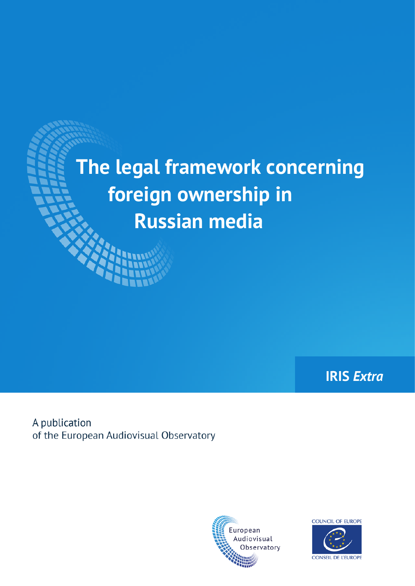# **The legal framework concerning foreign ownership in Russian media**

**IRIS** *Extra*

A publication of the European Audiovisual Observatory



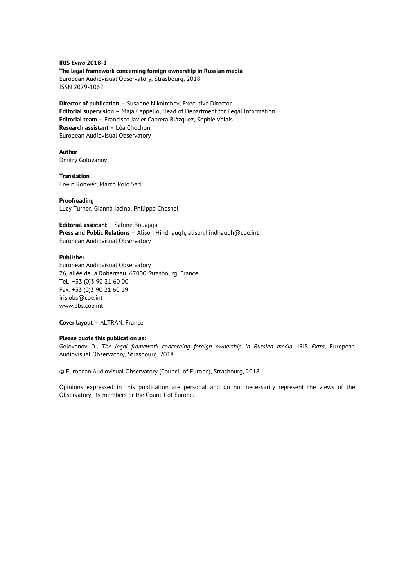**IRIS** *Extra* **2018-1 The legal framework concerning foreign ownership in Russian media**  European Audiovisual Observatory, Strasbourg, 2018 ISSN 2079-1062

**Director of publication** – Susanne Nikoltchev, Executive Director **Editorial supervision** – Maja Cappello, Head of Department for Legal Information **Editorial team** – Francisco Javier Cabrera Blázquez, Sophie Valais **Research assistant –** Léa Chochon European Audiovisual Observatory

**Author**  Dmitry Golovanov

**Translation**  Erwin Rohwer, Marco Polo Sarl

#### **Proofreading**

Lucy Turner, Gianna Iacino, Philippe Chesnel

**Editorial assistant** – Sabine Bouajaja **Press and Public Relations** – Alison Hindhaugh, alison.hindhaugh@coe.int European Audiovisual Observatory

#### **Publisher**

European Audiovisual Observatory 76, allée de la Robertsau, 67000 Strasbourg, France Tel.: +33 (0)3 90 21 60 00 Fax: +33 (0)3 90 21 60 19 iris.obs@coe.int www.obs.coe.int

**Cover layout** – ALTRAN, France

#### **Please quote this publication as:**

Golovanov D., *The legal framework concerning foreign ownership in Russian media*, IRIS *Extra*, European Audiovisual Observatory, Strasbourg, 2018

© European Audiovisual Observatory (Council of Europe), Strasbourg, 2018

Opinions expressed in this publication are personal and do not necessarily represent the views of the Observatory, its members or the Council of Europe.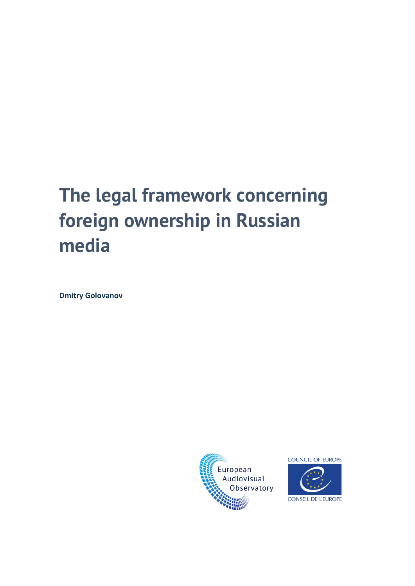# **The legal framework concerning foreign ownership in Russian media**

**Dmitry Golovanov**





CONSEIL DE L'EUROPE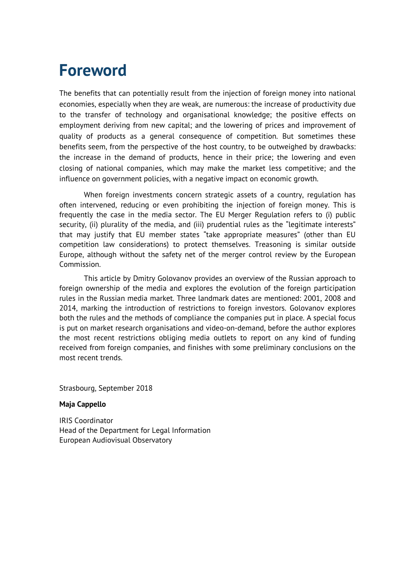### **Foreword**

The benefits that can potentially result from the injection of foreign money into national economies, especially when they are weak, are numerous: the increase of productivity due to the transfer of technology and organisational knowledge; the positive effects on employment deriving from new capital; and the lowering of prices and improvement of quality of products as a general consequence of competition. But sometimes these benefits seem, from the perspective of the host country, to be outweighed by drawbacks: the increase in the demand of products, hence in their price; the lowering and even closing of national companies, which may make the market less competitive; and the influence on government policies, with a negative impact on economic growth.

When foreign investments concern strategic assets of a country, regulation has often intervened, reducing or even prohibiting the injection of foreign money. This is frequently the case in the media sector. The EU Merger Regulation refers to (i) public security, (ii) plurality of the media, and (iii) prudential rules as the "legitimate interests" that may justify that EU member states "take appropriate measures" (other than EU competition law considerations) to protect themselves. Treasoning is similar outside Europe, although without the safety net of the merger control review by the European Commission.

This article by Dmitry Golovanov provides an overview of the Russian approach to foreign ownership of the media and explores the evolution of the foreign participation rules in the Russian media market. Three landmark dates are mentioned: 2001, 2008 and 2014, marking the introduction of restrictions to foreign investors. Golovanov explores both the rules and the methods of compliance the companies put in place. A special focus is put on market research organisations and video-on-demand, before the author explores the most recent restrictions obliging media outlets to report on any kind of funding received from foreign companies, and finishes with some preliminary conclusions on the most recent trends.

Strasbourg, September 2018

#### **Maja Cappello**

IRIS Coordinator Head of the Department for Legal Information European Audiovisual Observatory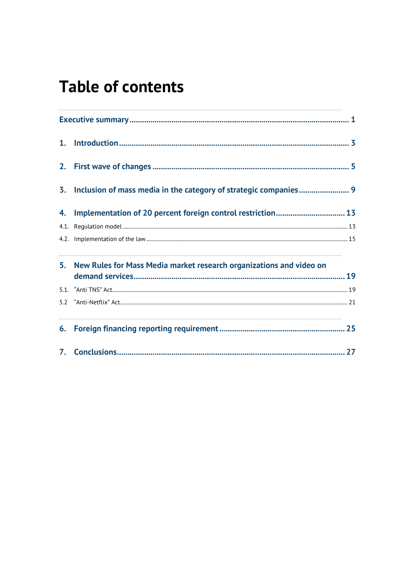### **Table of contents**

|  | 3. Inclusion of mass media in the category of strategic companies 9    |  |
|--|------------------------------------------------------------------------|--|
|  |                                                                        |  |
|  |                                                                        |  |
|  |                                                                        |  |
|  | 5. New Rules for Mass Media market research organizations and video on |  |
|  |                                                                        |  |
|  |                                                                        |  |
|  |                                                                        |  |
|  |                                                                        |  |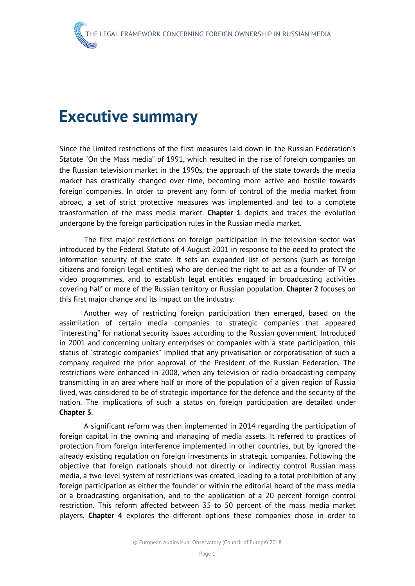#### <span id="page-8-0"></span>**Executive summary**

Since the limited restrictions of the first measures laid down in the Russian Federation's Statute "On the Mass media" of 1991, which resulted in the rise of foreign companies on the Russian television market in the 1990s, the approach of the state towards the media market has drastically changed over time, becoming more active and hostile towards foreign companies. In order to prevent any form of control of the media market from abroad, a set of strict protective measures was implemented and led to a complete transformation of the mass media market. **Chapter 1** depicts and traces the evolution undergone by the foreign participation rules in the Russian media market.

The first major restrictions on foreign participation in the television sector was introduced by the Federal Statute of 4 August 2001 in response to the need to protect the information security of the state. It sets an expanded list of persons (such as foreign citizens and foreign legal entities) who are denied the right to act as a founder of TV or video programmes, and to establish legal entities engaged in broadcasting activities covering half or more of the Russian territory or Russian population. **Chapter 2** focuses on this first major change and its impact on the industry.

Another way of restricting foreign participation then emerged, based on the assimilation of certain media companies to strategic companies that appeared "interesting" for national security issues according to the Russian government. Introduced in 2001 and concerning unitary enterprises or companies with a state participation, this status of "strategic companies" implied that any privatisation or corporatisation of such a company required the prior approval of the President of the Russian Federation. The restrictions were enhanced in 2008, when any television or radio broadcasting company transmitting in an area where half or more of the population of a given region of Russia lived, was considered to be of strategic importance for the defence and the security of the nation. The implications of such a status on foreign participation are detailed under **Chapter 3**.

A significant reform was then implemented in 2014 regarding the participation of foreign capital in the owning and managing of media assets. It referred to practices of protection from foreign interference implemented in other countries, but by ignored the already existing regulation on foreign investments in strategic companies. Following the objective that foreign nationals should not directly or indirectly control Russian mass media, a two-level system of restrictions was created, leading to a total prohibition of any foreign participation as either the founder or within the editorial board of the mass media or a broadcasting organisation, and to the application of a 20 percent foreign control restriction. This reform affected between 35 to 50 percent of the mass media market players. **Chapter 4** explores the different options these companies chose in order to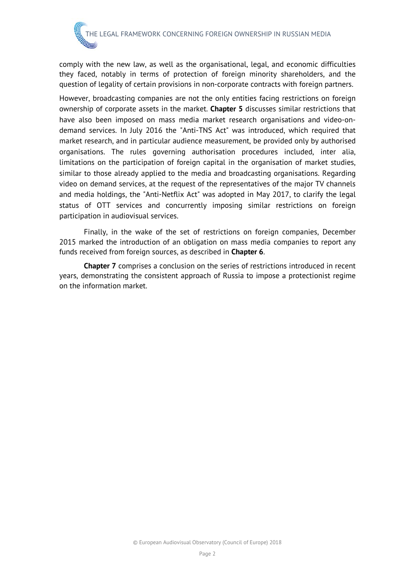comply with the new law, as well as the organisational, legal, and economic difficulties they faced, notably in terms of protection of foreign minority shareholders, and the question of legality of certain provisions in non-corporate contracts with foreign partners.

However, broadcasting companies are not the only entities facing restrictions on foreign ownership of corporate assets in the market. **Chapter 5** discusses similar restrictions that have also been imposed on mass media market research organisations and video-ondemand services. In July 2016 the "Anti-TNS Act" was introduced, which required that market research, and in particular audience measurement, be provided only by authorised organisations. The rules governing authorisation procedures included, inter alia, limitations on the participation of foreign capital in the organisation of market studies, similar to those already applied to the media and broadcasting organisations. Regarding video on demand services, at the request of the representatives of the major TV channels and media holdings, the "Anti-Netflix Act" was adopted in May 2017, to clarify the legal status of OTT services and concurrently imposing similar restrictions on foreign participation in audiovisual services.

Finally, in the wake of the set of restrictions on foreign companies, December 2015 marked the introduction of an obligation on mass media companies to report any funds received from foreign sources, as described in **Chapter 6**.

**Chapter 7** comprises a conclusion on the series of restrictions introduced in recent years, demonstrating the consistent approach of Russia to impose a protectionist regime on the information market.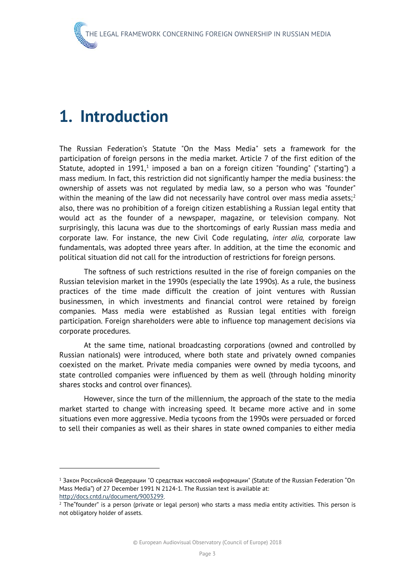### <span id="page-10-0"></span>**1. Introduction**

1

The Russian Federation's Statute "On the Mass Media" sets a framework for the participation of foreign persons in the media market. Article 7 of the first edition of the Statute, adopted in [1](#page-10-1)991,<sup>1</sup> imposed a ban on a foreign citizen "founding" ("starting") a mass medium. In fact, this restriction did not significantly hamper the media business: the ownership of assets was not regulated by media law, so a person who was "founder" within the meaning of the law did not necessarily have control over mass media assets;<sup>[2](#page-10-2)</sup> also, there was no prohibition of a foreign citizen establishing a Russian legal entity that would act as the founder of a newspaper, magazine, or television company. Not surprisingly, this lacuna was due to the shortcomings of early Russian mass media and corporate law. For instance, the new Civil Code regulating, *inter alia,* corporate law fundamentals, was adopted three years after. In addition, at the time the economic and political situation did not call for the introduction of restrictions for foreign persons.

The softness of such restrictions resulted in the rise of foreign companies on the Russian television market in the 1990s (especially the late 1990s). As a rule, the business practices of the time made difficult the creation of joint ventures with Russian businessmen, in which investments and financial control were retained by foreign companies. Mass media were established as Russian legal entities with foreign participation. Foreign shareholders were able to influence top management decisions via corporate procedures.

At the same time, national broadcasting corporations (owned and controlled by Russian nationals) were introduced, where both state and privately owned companies coexisted on the market. Private media companies were owned by media tycoons, and state controlled companies were influenced by them as well (through holding minority shares stocks and control over finances).

However, since the turn of the millennium, the approach of the state to the media market started to change with increasing speed. It became more active and in some situations even more aggressive. Media tycoons from the 1990s were persuaded or forced to sell their companies as well as their shares in state owned companies to either media

<span id="page-10-1"></span><sup>1</sup> Закон Российской Федерации "О средствах массовой информации" (Statute of the Russian Federation "On Mass Media") of 27 December 1991 N 2124-1. The Russian text is available at:

<span id="page-10-2"></span>http://docs.cntd.ru/document/9003299.<br><sup>2</sup> The founder" is a person (private or legal person) who starts a mass media entity activities. This person is not obligatory holder of assets.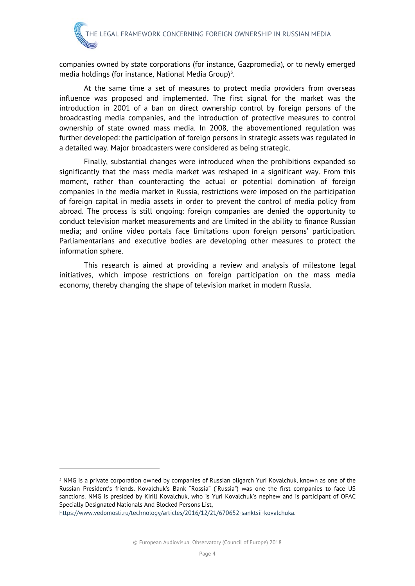companies owned by state corporations (for instance, Gazpromedia), or to newly emerged media holdings (for instance, National Media Group)<sup>[3](#page-11-0)</sup>.

At the same time a set of measures to protect media providers from overseas influence was proposed and implemented. The first signal for the market was the introduction in 2001 of a ban on direct ownership control by foreign persons of the broadcasting media companies, and the introduction of protective measures to control ownership of state owned mass media. In 2008, the abovementioned regulation was further developed: the participation of foreign persons in strategic assets was regulated in a detailed way. Major broadcasters were considered as being strategic.

Finally, substantial changes were introduced when the prohibitions expanded so significantly that the mass media market was reshaped in a significant way. From this moment, rather than counteracting the actual or potential domination of foreign companies in the media market in Russia, restrictions were imposed on the participation of foreign capital in media assets in order to prevent the control of media policy from abroad. The process is still ongoing: foreign companies are denied the opportunity to conduct television market measurements and are limited in the ability to finance Russian media; and online video portals face limitations upon foreign persons' participation. Parliamentarians and executive bodies are developing other measures to protect the information sphere.

This research is aimed at providing a review and analysis of milestone legal initiatives, which impose restrictions on foreign participation on the mass media economy, thereby changing the shape of television market in modern Russia.

<span id="page-11-0"></span><sup>&</sup>lt;sup>3</sup> NMG is a private corporation owned by companies of Russian oligarch Yuri Kovalchuk, known as one of the Russian President's friends. Kovalchuk's Bank "Rossia" ("Russia") was one the first companies to face US sanctions. NMG is presided by Kirill Kovalchuk, who is Yuri Kovalchuk's nephew and is participant of OFAC Specially Designated Nationals And Blocked Persons List,

[https://www.vedomosti.ru/technology/articles/2016/12/21/670652-sanktsii-kovalchuka.](https://www.vedomosti.ru/technology/articles/2016/12/21/670652-sanktsii-kovalchuka)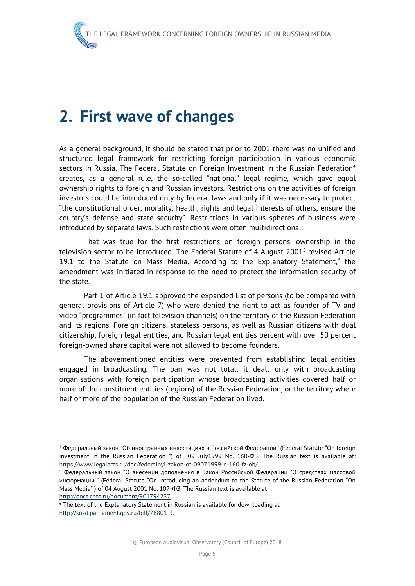### <span id="page-12-0"></span>**2. First wave of changes**

As a general background, it should be stated that prior to 2001 there was no unified and structured legal framework for restricting foreign participation in various economic sectors in Russia. The Federal Statute on Foreign Investment in the Russian Federation<sup>[4](#page-12-1)</sup> creates, as a general rule, the so-called "national" legal regime, which gave equal ownership rights to foreign and Russian investors. Restrictions on the activities of foreign investors could be introduced only by federal laws and only if it was necessary to protect "the constitutional order, morality, health, rights and legal interests of others, ensure the country's defense and state security". Restrictions in various spheres of business were introduced by separate laws. Such restrictions were often multidirectional.

That was true for the first restrictions on foreign persons' ownership in the television sector to be introduced. The Federal Statute of 4 August 2001[5](#page-12-2) revised Article 19.1 to the Statute on Mass Media. According to the Explanatory Statement, $6$  the amendment was initiated in response to the need to protect the information security of the state.

Part 1 of Article 19.1 approved the expanded list of persons (to be compared with general provisions of Article 7) who were denied the right to act as founder of TV and video "programmes" (in fact television channels) on the territory of the Russian Federation and its regions. Foreign citizens, stateless persons, as well as Russian citizens with dual citizenship, foreign legal entities, and Russian legal entities percent with over 50 percent foreign-owned share capital were not allowed to become founders.

The abovementioned entities were prevented from establishing legal entities engaged in broadcasting. The ban was not total; it dealt only with broadcasting organisations with foreign participation whose broadcasting activities covered half or more of the constituent entities (regions) of the Russian Federation, or the territory where half or more of the population of the Russian Federation lived.

-

<span id="page-12-1"></span><sup>4</sup> Федеральный закон "Об иностранных инвестициях в Российской Федерации" (Federal Statute "On foreign investment in the Russian Federation ") of 09 July1999 No. 160-ФЗ. The Russian text is available at: [https://www.legalacts.ru/doc/federalnyi-zakon-ot-09071999-n-160-fz-ob/.](https://www.legalacts.ru/doc/federalnyi-zakon-ot-09071999-n-160-fz-ob/)

<span id="page-12-2"></span><sup>5</sup> Федеральный закон "О внесении дополнения в Закон Российской Федерации "О средствах массовой информации"" (Federal Statute "On introducing an addendum to the Statute of the Russian Federation "On Mass Media" ) of 04 August 2001 No. 107-ФЗ. The Russian text is available at [http://docs.cntd.ru/document/901794237.](http://docs.cntd.ru/document/901794237)

<span id="page-12-3"></span><sup>&</sup>lt;sup>6</sup> The text of the Explanatory Statement in Russian is available for downloading at [http://sozd.parliament.gov.ru/bill/78801-3.](http://sozd.parliament.gov.ru/bill/78801-3)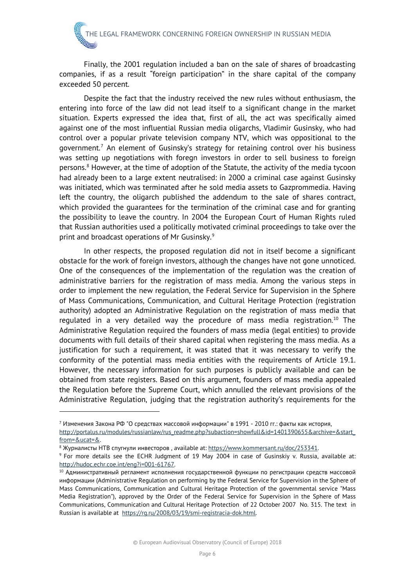Finally, the 2001 regulation included a ban on the sale of shares of broadcasting companies, if as a result "foreign participation" in the share capital of the company exceeded 50 percent.

Despite the fact that the industry received the new rules without enthusiasm, the entering into force of the law did not lead itself to a significant change in the market situation. Experts expressed the idea that, first of all, the act was specifically aimed against one of the most influential Russian media oligarchs, Vladimir Gusinsky, who had control over a popular private television company NTV, which was oppositional to the government.<sup>[7](#page-13-0)</sup> An element of Gusinsky's strategy for retaining control over his business was setting up negotiations with foregn investors in order to sell business to foreign persons.[8](#page-13-1) However, at the time of adoption of the Statute, the activity of the media tycoon had already been to a large extent neutralised: in 2000 a criminal case against Gusinsky was initiated, which was terminated after he sold media assets to Gazprommedia. Having left the country, the oligarch published the addendum to the sale of shares contract, which provided the guarantees for the termination of the criminal case and for granting the possibility to leave the country. In 2004 the European Court of Human Rights ruled that Russian authorities used a politically motivated criminal proceedings to take over the print and broadcast operations of Mr Gusinsky.[9](#page-13-2)

In other respects, the proposed regulation did not in itself become a significant obstacle for the work of foreign investors, although the changes have not gone unnoticed. One of the consequences of the implementation of the regulation was the creation of administrative barriers for the registration of mass media. Among the various steps in order to implement the new regulation, the Federal Service for Supervision in the Sphere of Mass Communications, Communication, and Cultural Heritage Protection (registration authority) adopted an Administrative Regulation on the registration of mass media that regulated in a very detailed way the procedure of mass media registration.<sup>[10](#page-13-3)</sup> The Administrative Regulation required the founders of mass media (legal entities) to provide documents with full details of their shared capital when registering the mass media. As a justification for such a requirement, it was stated that it was necessary to verify the conformity of the potential mass media entities with the requirements of Article 19.1. However, the necessary information for such purposes is publicly available and can be obtained from state registers. Based on this argument, founders of mass media appealed the Regulation before the Supreme Court, which annulled the relevant provisions of the Administrative Regulation, judging that the registration authority's requirements for the

<span id="page-13-0"></span> $^7$  Изменения Закона РФ "О средствах массовой информации" в 1991 - 2010 гг.: факты как история, [http://portalus.ru/modules/russianlaw/rus\\_readme.php?subaction=showfull&id=1401390655&archive=&start\\_](http://portalus.ru/modules/russianlaw/rus_readme.php?subaction=showfull&id=1401390655&archive=&start_from=&ucat=&) [from=&ucat=&.](http://portalus.ru/modules/russianlaw/rus_readme.php?subaction=showfull&id=1401390655&archive=&start_from=&ucat=&)

<sup>&</sup>lt;sup>8</sup> Журналисты НТВ спугнули инвесторов, available at: [https://www.kommersant.ru/doc/253341.](https://www.kommersant.ru/doc/253341)

<span id="page-13-2"></span><span id="page-13-1"></span><sup>9</sup> For more details see the ECHR Judgment of 19 May 2004 in case of Gusinskiy v. Russia, available at: [http://hudoc.echr.coe.int/eng?i=001-61767.](http://hudoc.echr.coe.int/eng?i=001-61767)

<span id="page-13-3"></span> $^{10}$  Административный регламент исполнения государственной функции по регистрации средств массовой информации (Administrative Regulation on performing by the Federal Service for Supervision in the Sphere of Mass Communications, Communication and Cultural Heritage Protection of the governmental service "Mass Media Registration"), approved by the Order of the Federal Service for Supervision in the Sphere of Mass Communications, Communication and Cultural Heritage Protection of 22 October 2007 No. 315. The text in Russian is available at [https://rg.ru/2008/03/19/smi-registracia-dok.html.](https://rg.ru/2008/03/19/smi-registracia-dok.html)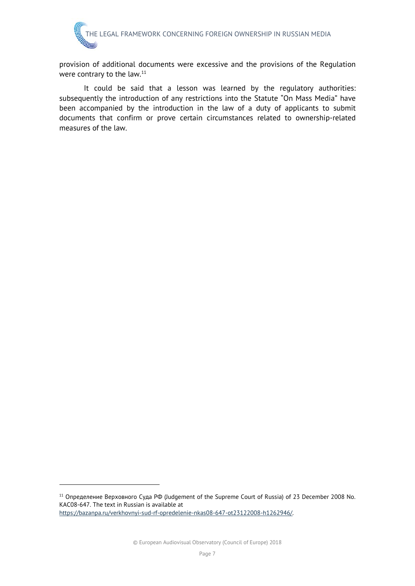provision of additional documents were excessive and the provisions of the Regulation were contrary to the law.<sup>[11](#page-14-0)</sup>

It could be said that a lesson was learned by the regulatory authorities: subsequently the introduction of any restrictions into the Statute "On Mass Media" have been accompanied by the introduction in the law of a duty of applicants to submit documents that confirm or prove certain circumstances related to ownership-related measures of the law.

<span id="page-14-0"></span><sup>11</sup> Определение Верховного Суда РФ (Judgement of the Supreme Court of Russia) of 23 December 2008 No. КАС08-647. The text in Russian is available at [https://bazanpa.ru/verkhovnyi-sud-rf-opredelenie-nkas08-647-ot23122008-h1262946/.](https://bazanpa.ru/verkhovnyi-sud-rf-opredelenie-nkas08-647-ot23122008-h1262946/)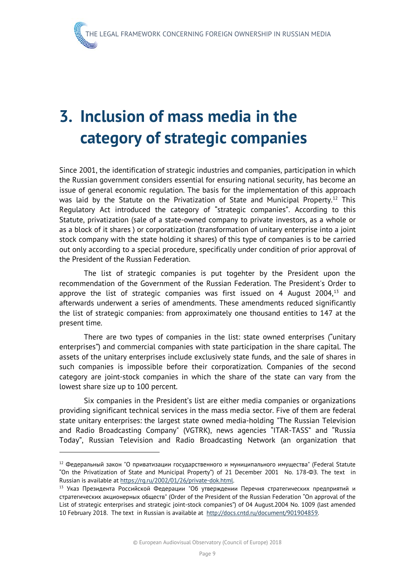## <span id="page-16-0"></span>**3. Inclusion of mass media in the category of strategic companies**

Since 2001, the identification of strategic industries and companies, participation in which the Russian government considers essential for ensuring national security, has become an issue of general economic regulation. The basis for the implementation of this approach was laid by the Statute on the Privatization of State and Municipal Property.<sup>[12](#page-16-1)</sup> This Regulatory Act introduced the category of "strategic companies". According to this Statute, privatization (sale of a state-owned company to private investors, as a whole or as a block of it shares ) or corporatization (transformation of unitary enterprise into a joint stock company with the state holding it shares) of this type of companies is to be carried out only according to a special procedure, specifically under condition of prior approval of the President of the Russian Federation.

The list of strategic companies is put togehter by the President upon the recommendation of the Government of the Russian Federation. The President's Order to approve the list of strategic companies was first issued on 4 August  $2004$ ,<sup>[13](#page-16-2)</sup> and afterwards underwent a series of amendments. These amendments reduced significantly the list of strategic companies: from approximately one thousand entities to 147 at the present time.

There are two types of companies in the list: state owned enterprises ("unitary enterprises") and commercial companies with state participation in the share capital. The assets of the unitary enterprises include exclusively state funds, and the sale of shares in such companies is impossible before their corporatization. Companies of the second category are joint-stock companies in which the share of the state can vary from the lowest share size up to 100 percent.

Six companies in the President's list are either media companies or organizations providing significant technical services in the mass media sector. Five of them are federal state unitary enterprises: the largest state owned media-holding "The Russian Television and Radio Broadcasting Company" (VGTRK), news agencies "ITAR-TASS" and "Russia Today", Russian Television and Radio Broadcasting Network (an organization that

<span id="page-16-1"></span> $12$  Федеральный закон "О приватизации государственного и муниципального имущества" (Federal Statute "On the Privatization of State and Municipal Property") of 21 December 2001 No. 178-ФЗ. The text in Russian is available at https://rg.ru/2002/01/26/private-dok.html.<br><sup>13</sup> Указ Президента Российской Федерации "Об утверждении Перечня стратегических предприятий и

<span id="page-16-2"></span>стратегических акционерных обществ" (Order of the President of the Russian Federation "On approval of the List of strategic enterprises and strategic joint-stock companies") of 04 August.2004 No. 1009 (last amended 10 February 2018. The text in Russian is available at [http://docs.cntd.ru/document/901904859.](http://docs.cntd.ru/document/901904859)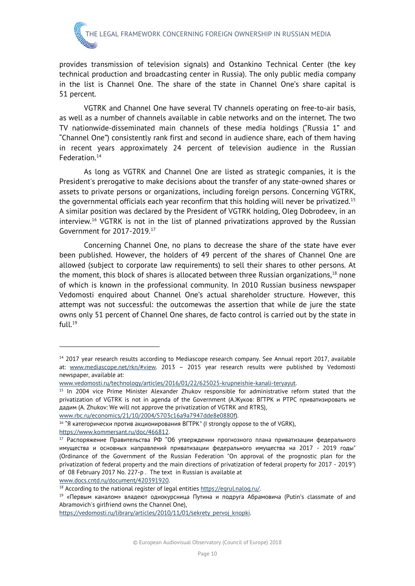provides transmission of television signals) and Ostankino Technical Center (the key technical production and broadcasting center in Russia). The only public media company in the list is Channel One. The share of the state in Channel One's share capital is 51 percent.

VGTRK and Channel One have several TV channels operating on free-to-air basis, as well as a number of channels available in cable networks and on the internet. The two TV nationwide-disseminated main channels of these media holdings ("Russia 1" and "Channel One") consistently rank first and second in audience share, each of them having in recent years approximately 24 percent of television audience in the Russian Federation[.14](#page-17-0)

As long as VGTRK and Channel One are listed as strategic companies, it is the President's prerogative to make decisions about the transfer of any state-owned shares or assets to private persons or organizations, including foreign persons. Concerning VGTRK, the governmental officials each year reconfirm that this holding will never be privatized.[15](#page-17-1) A similar position was declared by the President of VGTRK holding, Oleg Dobrodeev, in an interview.[16](#page-17-2) VGTRK is not in the list of planned privatizations approved by the Russian Government for 2017-2019.[17](#page-17-3)

Concerning Channel One, no plans to decrease the share of the state have ever been published. However, the holders of 49 percent of the shares of Channel One are allowed (subject to corporate law requirements) to sell their shares to other persons. At the moment, this block of shares is allocated between three Russian organizations, $18$  none of which is known in the professional community. In 2010 Russian business newspaper Vedomosti enquired about Channel One's actual shareholder structure. However, this attempt was not successful: the outcomewas the assertion that while de jure the state owns only 51 percent of Channel One shares, de facto control is carried out by the state in  $full.<sup>19</sup>$  $full.<sup>19</sup>$  $full.<sup>19</sup>$ 

[www.rbc.ru/economics/21/10/2004/5703c16a9a7947dde8e0880f\)](http://www.rbc.ru/economics/21/10/2004/5703c16a9a7947dde8e0880f).

<span id="page-17-2"></span><sup>16</sup> "Я категорически против акционирования ВГТРК" (I strongly oppose to the of VGRK),

[https://www.kommersant.ru/doc/466812.](https://www.kommersant.ru/doc/466812)

1

[www.docs.cntd.ru/document/420391920.](http://www.docs.cntd.ru/document/420391920)

[https://vedomosti.ru/library/articles/2010/11/01/sekrety\\_pervoj\\_knopki.](https://vedomosti.ru/library/articles/2010/11/01/sekrety_pervoj_knopki)

<span id="page-17-0"></span><sup>&</sup>lt;sup>14</sup> 2017 year research results according to Mediascope research company. See Annual report 2017, available at: [www.mediascope.net/rkn/#view.](http://www.mediascope.net/rkn/#view) 2013 - 2015 year research results were published by Vedomosti newspaper, available at:

[www.vedomosti.ru/technology/articles/2016/01/22/625025-krupneishie-kanali-teryayut.](http://www.vedomosti.ru/technology/articles/2016/01/22/625025-krupneishie-kanali-teryayut)

<span id="page-17-1"></span><sup>&</sup>lt;sup>15</sup> In 2004 vice Prime Minister Alexander Zhukov responsible for administrative reform stated that the privatization of VGTRK is not in agenda of the Government (А.Жуков: ВГТРК и РТРС приватизировать не дадим (A. Zhukov: We will not approve the privatization of VGTRK and RTRS),

<span id="page-17-3"></span><sup>17</sup> Распоряжение Правительства РФ "Об утверждении прогнозного плана приватизации федерального имущества и основных направлений приватизации федерального имущества на 2017 - 2019 годы" (Ordinance of the Government of the Russian Federation "On approval of the prognostic plan for the privatization of federal property and the main directions of privatization of federal property for 2017 - 2019") of 08 February 2017 No. 227-р . The text in Russian is available at

<span id="page-17-4"></span><sup>&</sup>lt;sup>18</sup> According to the national register of legal entities [https://egrul.nalog.ru/.](https://egrul.nalog.ru/)

<span id="page-17-5"></span><sup>&</sup>lt;sup>19</sup> «Первым каналом» владеют однокурсница Путина и подруга Абрамовича (Putin's classmate of and Abramovich's girlfriend owns the Channel One),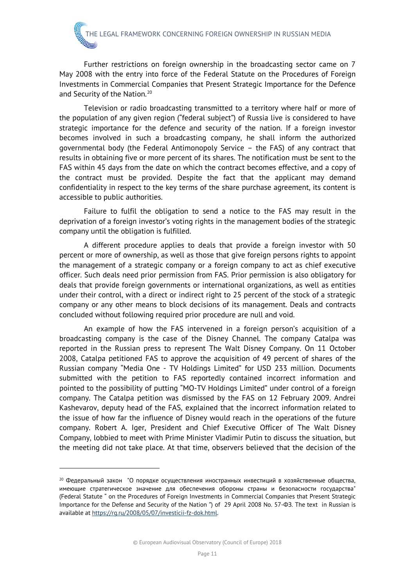Further restrictions on foreign ownership in the broadcasting sector came on 7 May 2008 with the entry into force of the Federal Statute on the Procedures of Foreign Investments in Commercial Companies that Present Strategic Importance for the Defence and Security of the Nation.<sup>[20](#page-18-0)</sup>

Television or radio broadcasting transmitted to a territory where half or more of the population of any given region ("federal subject") of Russia live is considered to have strategic importance for the defence and security of the nation. If a foreign investor becomes involved in such a broadcasting company, he shall inform the authorized governmental body (the Federal Antimonopoly Service – the FAS) of any contract that results in obtaining five or more percent of its shares. The notification must be sent to the FAS within 45 days from the date on which the contract becomes effective, and a copy of the contract must be provided. Despite the fact that the applicant may demand confidentiality in respect to the key terms of the share purchase agreement, its content is accessible to public authorities.

Failure to fulfil the obligation to send a notice to the FAS may result in the deprivation of a foreign investor's voting rights in the management bodies of the strategic company until the obligation is fulfilled.

A different procedure applies to deals that provide a foreign investor with 50 percent or more of ownership, as well as those that give foreign persons rights to appoint the management of a strategic company or a foreign company to act as chief executive officer. Such deals need prior permission from FAS. Prior permission is also obligatory for deals that provide foreign governments or international organizations, as well as entities under their control, with a direct or indirect right to 25 percent of the stock of a strategic company or any other means to block decisions of its management. Deals and contracts concluded without following required prior procedure are null and void.

An example of how the FAS intervened in a foreign person's acquisition of a broadcasting company is the case of the Disney Channel. The company Catalpa was reported in the Russian press to represent The Walt Disney Company. On 11 October 2008, Catalpa petitioned FAS to approve the acquisition of 49 percent of shares of the Russian company "Media One - TV Holdings Limited" for USD 233 million. Documents submitted with the petition to FAS reportedly contained incorrect information and pointed to the possibility of putting "MO-TV Holdings Limited" under control of a foreign company. The Catalpa petition was dismissed by the FAS on 12 February 2009. Andrei Kashevarov, deputy head of the FAS, explained that the incorrect information related to the issue of how far the influence of Disney would reach in the operations of the future company. Robert A. Iger, President and Chief Executive Officer of The Walt Disney Company, lobbied to meet with Prime Minister Vladimir Putin to discuss the situation, but the meeting did not take place. At that time, observers believed that the decision of the

<span id="page-18-0"></span><sup>&</sup>lt;sup>20</sup> Федеральный закон "О порядке осуществления иностранных инвестиций в хозяйственные общества, имеющие стратегическое значение для обеспечения обороны страны и безопасности государства" (Federal Statute " on the Procedures of Foreign Investments in Commercial Companies that Present Strategic Importance for the Defense and Security of the Nation ") of 29 April 2008 No. 57-ФЗ. The text in Russian is available at [https://rg.ru/2008/05/07/investicii-fz-dok.html.](https://rg.ru/2008/05/07/investicii-fz-dok.html)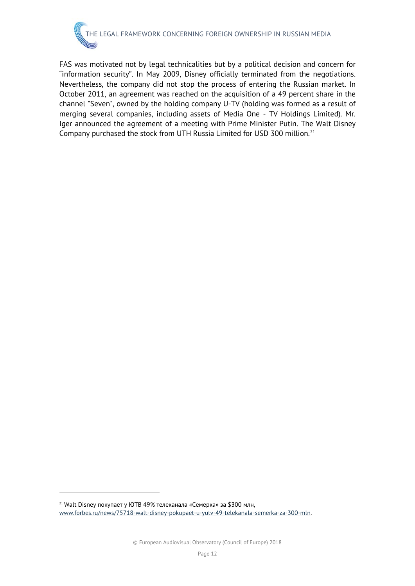FAS was motivated not by legal technicalities but by a political decision and concern for "information security". In May 2009, Disney officially terminated from the negotiations. Nevertheless, the company did not stop the process of entering the Russian market. In October 2011, an agreement was reached on the acquisition of a 49 percent share in the channel "Seven", owned by the holding company U-TV (holding was formed as a result of merging several companies, including assets of Media One - TV Holdings Limited). Mr. Iger announced the agreement of a meeting with Prime Minister Putin. The Walt Disney Company purchased the stock from UTH Russia Limited for USD 300 million.<sup>[21](#page-19-0)</sup>

<span id="page-19-0"></span><sup>&</sup>lt;sup>21</sup> Walt Disney покупает у ЮТВ 49% телеканала «Семерка» за \$300 млн, [www.forbes.ru/news/75718-walt-disney-pokupaet-u-yutv-49-telekanala-semerka-za-300-mln.](http://www.forbes.ru/news/75718-walt-disney-pokupaet-u-yutv-49-telekanala-semerka-za-300-mln)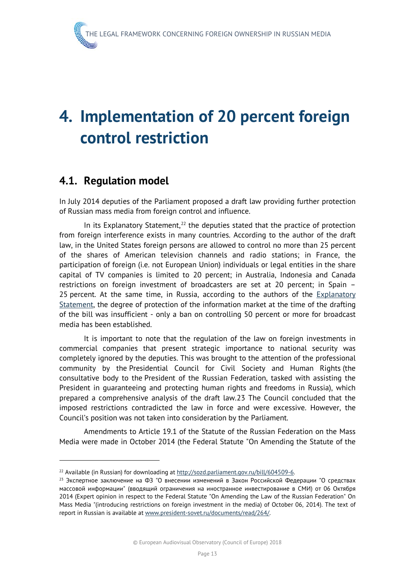## <span id="page-20-0"></span>**4. Implementation of 20 percent foreign control restriction**

#### <span id="page-20-1"></span>**4.1. Regulation model**

In July 2014 deputies of the Parliament proposed a draft law providing further protection of Russian mass media from foreign control and influence.

In its Explanatory Statement, $^{22}$  $^{22}$  $^{22}$  the deputies stated that the practice of protection from foreign interference exists in many countries. According to the author of the draft law, in the United States foreign persons are allowed to control no more than 25 percent of the shares of American television channels and radio stations; in France, the participation of foreign (i.e. not European Union) individuals or legal entities in the share capital of TV companies is limited to 20 percent; in Australia, Indonesia and Canada restrictions on foreign investment of broadcasters are set at 20 percent; in Spain – 25 percent. At the same time, in Russia, according to the authors of the **Explanatory** [Statement,](http://context.reverso.net/%D0%BF%D0%B5%D1%80%D0%B5%D0%B2%D0%BE%D0%B4/%D0%B0%D0%BD%D0%B3%D0%BB%D0%B8%D0%B9%D1%81%D0%BA%D0%B8%D0%B9-%D1%80%D1%83%D1%81%D1%81%D0%BA%D0%B8%D0%B9/Explanatory+Statement) the degree of protection of the information market at the time of the drafting of the bill was insufficient - only a ban on controlling 50 percent or more for broadcast media has been established.

It is important to note that the regulation of the law on foreign investments in commercial companies that present strategic importance to national security was completely ignored by the deputies. This was brought to the attention of the professional community by the Presidential Council for Civil Society and Human Rights (the consultative body to the President of the Russian Federation, tasked with assisting the President in guaranteeing and protecting human rights and freedoms in Russia), which prepared a comprehensive analysis of the draft law.[23](#page-20-3) The Council concluded that the imposed restrictions contradicted the law in force and were excessive. However, the Council's position was not taken into consideration by the Parliament.

Amendments to Article 19.1 of the Statute of the Russian Federation on the Mass Media were made in October 2014 (the Federal Statute "On Amending the Statute of the

<span id="page-20-3"></span><span id="page-20-2"></span><sup>&</sup>lt;sup>22</sup> Available (in Russian) for downloading at http://sozd.parliament.gov.ru/bill/604509-6.<br><sup>23</sup> Экспертное заключение на ФЗ "О внесении изменений в Закон Российской Федерации "О средствах массовой информации" (вводящий ограничения на иностранное инвестирование в СМИ) от 06 Октября 2014 (Expert opinion in respect to the Federal Statute "On Amending the Law of the Russian Federation" On Mass Media "(introducing restrictions on foreign investment in the media) of October 06, 2014). The text of report in Russian is available at [www.president-sovet.ru/documents/read/264/.](http://www.president-sovet.ru/documents/read/264/)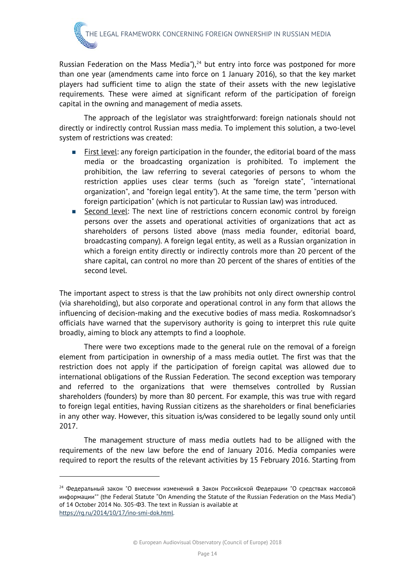Russian Federation on the Mass Media"), $<sup>24</sup>$  $<sup>24</sup>$  $<sup>24</sup>$  but entry into force was postponed for more</sup> than one year (amendments came into force on 1 January 2016), so that the key market players had sufficient time to align the state of their assets with the new legislative requirements. These were aimed at significant reform of the participation of foreign capital in the owning and management of media assets.

The approach of the legislator was straightforward: foreign nationals should not directly or indirectly control Russian mass media. To implement this solution, a two-level system of restrictions was created:

- First level: any foreign participation in the founder, the editorial board of the mass media or the broadcasting organization is prohibited. To implement the prohibition, the law referring to several categories of persons to whom the restriction applies uses clear terms (such as "foreign state", "international organization", and "foreign legal entity"). At the same time, the term "person with foreign participation" (which is not particular to Russian law) was introduced.
- Second level: The next line of restrictions concern economic control by foreign persons over the assets and operational activities of organizations that act as shareholders of persons listed above (mass media founder, editorial board, broadcasting company). A foreign legal entity, as well as a Russian organization in which a foreign entity directly or indirectly controls more than 20 percent of the share capital, can control no more than 20 percent of the shares of entities of the second level.

The important aspect to stress is that the law prohibits not only direct ownership control (via shareholding), but also corporate and operational control in any form that allows the influencing of decision-making and the executive bodies of mass media. Roskomnadsor's officials have warned that the supervisory authority is going to interpret this rule quite broadly, aiming to block any attempts to find a loophole.

There were two exceptions made to the general rule on the removal of a foreign element from participation in ownership of a mass media outlet. The first was that the restriction does not apply if the participation of foreign capital was allowed due to international obligations of the Russian Federation. The second exception was temporary and referred to the organizations that were themselves controlled by Russian shareholders (founders) by more than 80 percent. For example, this was true with regard to foreign legal entities, having Russian citizens as the shareholders or final beneficiaries in any other way. However, this situation is/was considered to be legally sound only until 2017.

The management structure of mass media outlets had to be alligned with the requirements of the new law before the end of January 2016. Media companies were required to report the results of the relevant activities by 15 February 2016. Starting from

<span id="page-21-0"></span><sup>24</sup> Федеральный закон "О внесении изменений в Закон Российской Федерации "О средствах массовой информации"" (the Federal Statute "On Amending the Statute of the Russian Federation on the Mass Media") of 14 October 2014 No. 305-ФЗ. The text in Russian is available at [https://rg.ru/2014/10/17/ino-smi-dok.html.](https://rg.ru/2014/10/17/ino-smi-dok.html)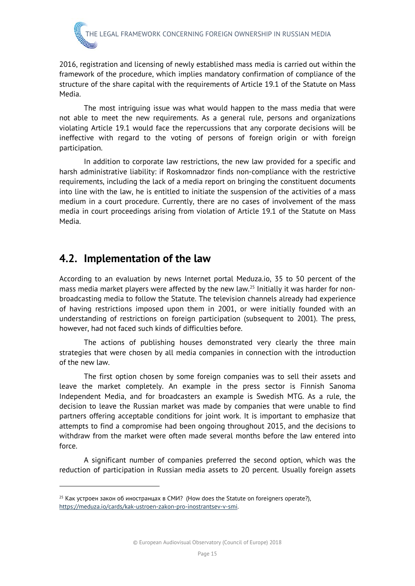2016, registration and licensing of newly established mass media is carried out within the framework of the procedure, which implies mandatory confirmation of compliance of the structure of the share capital with the requirements of Article 19.1 of the Statute on Mass Media.

The most intriguing issue was what would happen to the mass media that were not able to meet the new requirements. As a general rule, persons and organizations violating Article 19.1 would face the repercussions that any corporate decisions will be ineffective with regard to the voting of persons of foreign origin or with foreign participation.

In addition to corporate law restrictions, the new law provided for a specific and harsh administrative liability: if Roskomnadzor finds non-compliance with the restrictive requirements, including the lack of a media report on bringing the constituent documents into line with the law, he is entitled to initiate the suspension of the activities of a mass medium in a court procedure. Currently, there are no cases of involvement of the mass media in court proceedings arising from violation of Article 19.1 of the Statute on Mass Media.

#### <span id="page-22-0"></span>**4.2. Implementation of the law**

According to an evaluation by news Internet portal Meduza.io, 35 to 50 percent of the mass media market players were affected by the new law.<sup>[25](#page-22-1)</sup> Initially it was harder for nonbroadcasting media to follow the Statute. The television channels already had experience of having restrictions imposed upon them in 2001, or were initially founded with an understanding of restrictions on foreign participation (subsequent to 2001). The press, however, had not faced such kinds of difficulties before.

The actions of publishing houses demonstrated very clearly the three main strategies that were chosen by all media companies in connection with the introduction of the new law.

The first option chosen by some foreign companies was to sell their assets and leave the market completely. An example in the press sector is Finnish Sanoma Independent Media, and for broadcasters an example is Swedish MTG. As a rule, the decision to leave the Russian market was made by companies that were unable to find partners offering acceptable conditions for joint work. It is important to emphasize that attempts to find a compromise had been ongoing throughout 2015, and the decisions to withdraw from the market were often made several months before the law entered into force.

A significant number of companies preferred the second option, which was the reduction of participation in Russian media assets to 20 percent. Usually foreign assets

<span id="page-22-1"></span> $25$  Как устроен закон об иностранцах в СМИ? (How does the Statute on foreigners operate?), [https://meduza.io/cards/kak-ustroen-zakon-pro-inostrantsev-v-smi.](https://meduza.io/cards/kak-ustroen-zakon-pro-inostrantsev-v-smi)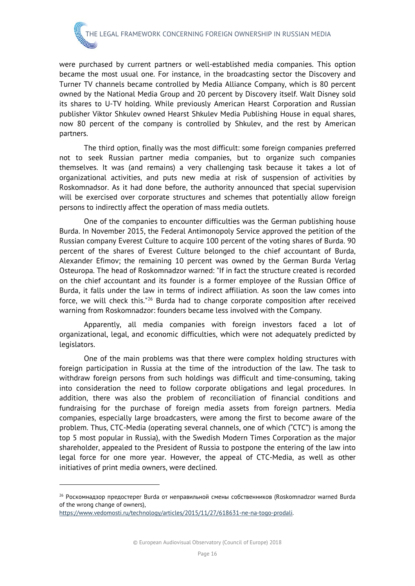were purchased by current partners or well-established media companies. This option became the most usual one. For instance, in the broadcasting sector the Discovery and Turner TV channels became controlled by Media Alliance Company, which is 80 percent owned by the National Media Group and 20 percent by Discovery itself. Walt Disney sold its shares to U-TV holding. While previously American Hearst Corporation and Russian publisher Viktor Shkulev owned Hearst Shkulev Media Publishing House in equal shares, now 80 percent of the company is controlled by Shkulev, and the rest by American partners.

The third option, finally was the most difficult: some foreign companies preferred not to seek Russian partner media companies, but to organize such companies themselves. It was (and remains) a very challenging task because it takes a lot of organizational activities, and puts new media at risk of suspension of activities by Roskomnadsor. As it had done before, the authority announced that special supervision will be exercised over corporate structures and schemes that potentially allow foreign persons to indirectly affect the operation of mass media outlets.

One of the companies to encounter difficulties was the German publishing house Burda. In November 2015, the Federal Antimonopoly Service approved the petition of the Russian company Everest Culture to acquire 100 percent of the voting shares of Burda. 90 percent of the shares of Everest Culture belonged to the chief accountant of Burda, Alexander Efimov; the remaining 10 percent was owned by the German Burda Verlag Osteuropa. The head of Roskomnadzor warned: "If in fact the structure created is recorded on the chief accountant and its founder is a former employee of the Russian Office of Burda, it falls under the law in terms of indirect affiliation. As soon the law comes into force, we will check this."[26](#page-23-0) Burda had to change corporate composition after received warning from Roskomnadzor: founders became less involved with the Company.

Apparently, all media companies with foreign investors faced a lot of organizational, legal, and economic difficulties, which were not adequately predicted by legislators.

One of the main problems was that there were complex holding structures with foreign participation in Russia at the time of the introduction of the law. The task to withdraw foreign persons from such holdings was difficult and time-consuming, taking into consideration the need to follow corporate obligations and legal procedures. In addition, there was also the problem of reconciliation of financial conditions and fundraising for the purchase of foreign media assets from foreign partners. Media companies, especially large broadcasters, were among the first to become aware of the problem. Thus, CTC-Media (operating several channels, one of which ("CTC") is among the top 5 most popular in Russia), with the Swedish Modern Times Corporation as the major shareholder, appealed to the President of Russia to postpone the entering of the law into legal force for one more year. However, the appeal of CTC-Media, as well as other initiatives of print media owners, were declined.

<span id="page-23-0"></span><sup>&</sup>lt;sup>26</sup> Роскомнадзор предостерег Burda от неправильной смены собственников (Roskomnadzor warned Burda of the wrong change of owners),

[https://www.vedomosti.ru/technology/articles/2015/11/27/618631-ne-na-togo-prodali.](https://www.vedomosti.ru/technology/articles/2015/11/27/618631-ne-na-togo-prodali)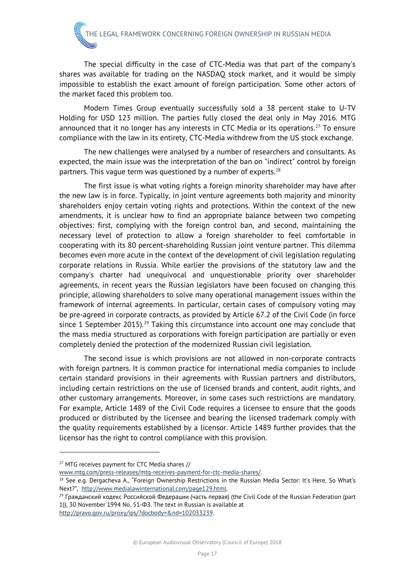The special difficulty in the case of CTC-Media was that part of the company's shares was available for trading on the NASDAQ stock market, and it would be simply impossible to establish the exact amount of foreign participation. Some other actors of the market faced this problem too.

Modern Times Group eventually successfully sold a 38 percent stake to U-TV Holding for USD 123 million. The parties fully closed the deal only in May 2016. MTG announced that it no longer has any interests in CTC Media or its operations.<sup>[27](#page-24-0)</sup> To ensure compliance with the law in its entirety, CTC-Media withdrew from the US stock exchange.

The new challenges were analysed by a number of researchers and consultants. As expected, the main issue was the interpretation of the ban on "indirect" control by foreign partners. This vague term was questioned by a number of experts. $28$ 

The first issue is what voting rights a foreign minority shareholder may have after the new law is in force. Typically, in joint venture agreements both majority and minority shareholders enjoy certain voting rights and protections. Within the context of the new amendments, it is unclear how to find an appropriate balance between two competing objectives: first, complying with the foreign control ban, and second, maintaining the necessary level of protection to allow a foreign shareholder to feel comfortable in cooperating with its 80 percent-shareholding Russian joint venture partner. This dilemma becomes even more acute in the context of the development of civil legislation regulating corporate relations in Russia. While earlier the provisions of the statutory law and the company's charter had unequivocal and unquestionable priority over shareholder agreements, in recent years the Russian legislators have been focused on changing this principle, allowing shareholders to solve many operational management issues within the framework of internal agreements. In particular, certain cases of compulsory voting may be pre-agreed in corporate contracts, as provided by Article 67.2 of the Civil Code (in force since 1 September 2015).<sup>[29](#page-24-2)</sup> Taking this circumstance into account one may conclude that the mass media structured as corporations with foreign participation are partially or even completely denied the protection of the modernized Russian civil legislation.

The second issue is which provisions are not allowed in non-corporate contracts with foreign partners. It is common practice for international media companies to include certain standard provisions in their agreements with Russian partners and distributors, including certain restrictions on the use of licensed brands and content, audit rights, and other customary arrangements. Moreover, in some cases such restrictions are mandatory. For example, Article 1489 of the Civil Code requires a licensee to ensure that the goods produced or distributed by the licensee and bearing the licensed trademark comply with the quality requirements established by a licensor. Article 1489 further provides that the licensor has the right to control compliance with this provision.

[http://pravo.gov.ru/proxy/ips/?docbody=&nd=102033239.](http://pravo.gov.ru/proxy/ips/?docbody=&nd=102033239) 

<span id="page-24-0"></span><sup>&</sup>lt;sup>27</sup> MTG receives payment for CTC Media shares //

<span id="page-24-1"></span>www.mtg.com/press-releases/mtg-receives-payment-for-ctc-media-shares/.<br><sup>28</sup> See e.g. Dergacheva A., "Foreign Ownership Restrictions in the Russian Media Sector: It's Here, So What's Next?", http://www.medialawinternational.com/page129.html.<br><sup>29</sup> Гражданский кодекс Российской Федерации (часть первая) (the Civil Code of the Russian Federation (part

<span id="page-24-2"></span><sup>1)), 30</sup> November 1994 No. 51-ФЗ. The text in Russian is available at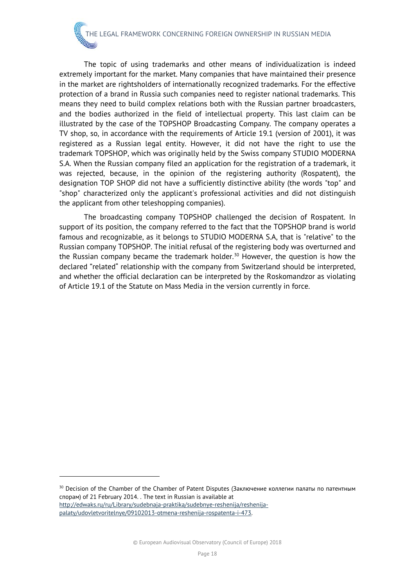The topic of using trademarks and other means of individualization is indeed extremely important for the market. Many companies that have maintained their presence in the market are rightsholders of internationally recognized trademarks. For the effective protection of a brand in Russia such companies need to register national trademarks. This means they need to build complex relations both with the Russian partner broadcasters, and the bodies authorized in the field of intellectual property. This last claim can be illustrated by the case of the TOPSHOP Broadcasting Company. The company operates a TV shop, so, in accordance with the requirements of Article 19.1 (version of 2001), it was registered as a Russian legal entity. However, it did not have the right to use the trademark TOPSHOP, which was originally held by the Swiss company STUDIO MODERNA S.A. When the Russian company filed an application for the registration of a trademark, it was rejected, because, in the opinion of the registering authority (Rospatent), the designation TOP SHOP did not have a sufficiently distinctive ability (the words "top" and "shop" characterized only the applicant's professional activities and did not distinguish the applicant from other teleshopping companies).

The broadcasting company TOPSHOP challenged the decision of Rospatent. In support of its position, the company referred to the fact that the TOPSHOP brand is world famous and recognizable, as it belongs to STUDIO MODERNA S.A, that is "relative" to the Russian company TOPSHOP. The initial refusal of the registering body was overturned and the Russian company became the trademark holder.<sup>[30](#page-25-0)</sup> However, the question is how the declared "related" relationship with the company from Switzerland should be interpreted, and whether the official declaration can be interpreted by the Roskomandzor as violating of Article 19.1 of the Statute on Mass Media in the version currently in force.

<span id="page-25-0"></span><sup>&</sup>lt;sup>30</sup> Decision of the Chamber of the Chamber of Patent Disputes (Заключение коллегии палаты по патентным спорам) of 21 February 2014. . The text in Russian is available at [http://edwaks.ru/ru/Library/sudebnaja-praktika/sudebnye-reshenija/reshenija](http://edwaks.ru/ru/Library/sudebnaja-praktika/sudebnye-reshenija/reshenija-palaty/udovletvoritelnye/09102013-otmena-reshenija-rospatenta-i-473)[palaty/udovletvoritelnye/09102013-otmena-reshenija-rospatenta-i-473.](http://edwaks.ru/ru/Library/sudebnaja-praktika/sudebnye-reshenija/reshenija-palaty/udovletvoritelnye/09102013-otmena-reshenija-rospatenta-i-473)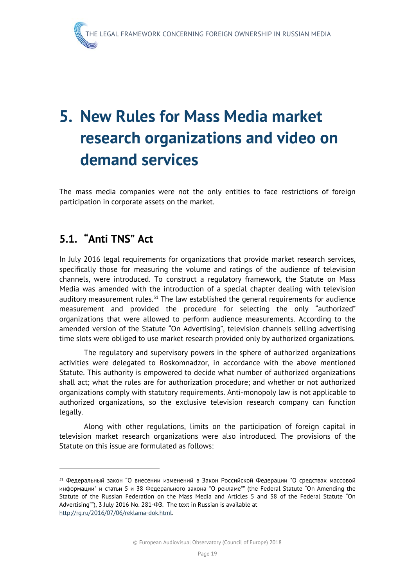# <span id="page-26-0"></span>**5. New Rules for Mass Media market research organizations and video on demand services**

The mass media companies were not the only entities to face restrictions of foreign participation in corporate assets on the market.

#### <span id="page-26-1"></span>**5.1. "Anti TNS" Act**

In July 2016 legal requirements for organizations that provide market research services, specifically those for measuring the volume and ratings of the audience of television channels, were introduced. To construct a regulatory framework, the Statute on Mass Media was amended with the introduction of a special chapter dealing with television auditory measurement rules. $31$  The law established the general requirements for audience measurement and provided the procedure for selecting the only "authorized" organizations that were allowed to perform audience measurements. According to the amended version of the Statute "On Advertising", television channels selling advertising time slots were obliged to use market research provided only by authorized organizations.

The regulatory and supervisory powers in the sphere of authorized organizations activities were delegated to Roskomnadzor, in accordance with the above mentioned Statute. This authority is empowered to decide what number of authorized organizations shall act; what the rules are for authorization procedure; and whether or not authorized organizations comply with statutory requirements. Anti-monopoly law is not applicable to authorized organizations, so the exclusive television research company can function legally.

Along with other regulations, limits on the participation of foreign capital in television market research organizations were also introduced. The provisions of the Statute on this issue are formulated as follows:

<span id="page-26-2"></span> $31$  Федеральный закон "О внесении изменений в Закон Российской Федерации "О средствах массовой информации" и статьи 5 и 38 Федерального закона "О рекламе"" (the Federal Statute "On Amending the Statute of the Russian Federation on the Mass Media and Articles 5 and 38 of the Federal Statute "On Advertising""), 3 July 2016 No. 281-ФЗ. The text in Russian is available at [http://rg.ru/2016/07/06/reklama-dok.html.](http://rg.ru/2016/07/06/reklama-dok.html)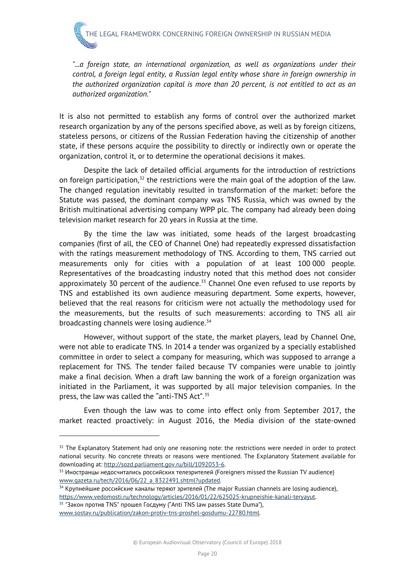*"...a foreign state, an international organization, as well as organizations under their control, a foreign legal entity, a Russian legal entity whose share in foreign ownership in the authorized organization capital is more than 20 percent, is not entitled to act as an authorized organization."*

It is also not permitted to establish any forms of control over the authorized market research organization by any of the persons specified above, as well as by foreign citizens, stateless persons, or citizens of the Russian Federation having the citizenship of another state, if these persons acquire the possibility to directly or indirectly own or operate the organization, control it, or to determine the operational decisions it makes.

Despite the lack of detailed official arguments for the introduction of restrictions on foreign participation, $32$  the restrictions were the main goal of the adoption of the law. The changed regulation inevitably resulted in transformation of the market: before the Statute was passed, the dominant company was TNS Russia, which was owned by the British multinational advertising company WPP plc. The company had already been doing television market research for 20 years in Russia at the time.

By the time the law was initiated, some heads of the largest broadcasting companies (first of all, the CEO of Channel One) had repeatedly expressed dissatisfaction with the ratings measurement methodology of TNS. According to them, TNS carried out measurements only for cities with a population of at least 100 000 people. Representatives of the broadcasting industry noted that this method does not consider approximately 30 percent of the audience. $33$  Channel One even refused to use reports by TNS and established its own audience measuring department. Some experts, however, believed that the real reasons for criticism were not actually the methodology used for the measurements, but the results of such measurements: according to TNS all air broadcasting channels were losing audience.<sup>[34](#page-27-2)</sup>

However, without support of the state, the market players, lead by Channel One, were not able to eradicate TNS. In 2014 a tender was organized by a specially established committee in order to select a company for measuring, which was supposed to arrange a replacement for TNS. The tender failed because TV companies were unable to jointly make a final decision. When a draft law banning the work of a foreign organization was initiated in the Parliament, it was supported by all major television companies. In the press, the law was called the "anti-TNS Act".<sup>[35](#page-27-3)</sup>

Even though the law was to come into effect only from September 2017, the market reacted proactively: in August 2016, the Media division of the state-owned

-

<span id="page-27-0"></span> $32$  The Explanatory Statement had only one reasoning note: the restrictions were needed in order to protect national security. No concrete threats or reasons were mentioned. The Explanatory Statement available for downloading at: <u>http://sozd.parliament.gov.ru/bill/1092053-6</u>.<br><sup>33</sup> Иностранцы недосчитались российских телезрителей (Foreigners missed the Russian TV audience)

<span id="page-27-1"></span>[www.gazeta.ru/tech/2016/06/22\\_a\\_8322491.shtml?updated.](http://www.gazeta.ru/tech/2016/06/22_a_8322491.shtml?updated)

<span id="page-27-2"></span><sup>&</sup>lt;sup>34</sup> Крупнейшие российские каналы теряют зрителей (The major Russian channels are losing audience), https://www.vedomosti.ru/technology/articles/2016/01/22/625025-krupneishie-kanali-teryayut.<br><sup>35</sup> "Закон против TNS" прошел Госдуму ("Anti TNS law passes State Duma"),

<span id="page-27-3"></span>[www.sostav.ru/publication/zakon-protiv-tns-proshel-gosdumu-22780.html.](http://www.sostav.ru/publication/zakon-protiv-tns-proshel-gosdumu-22780.html)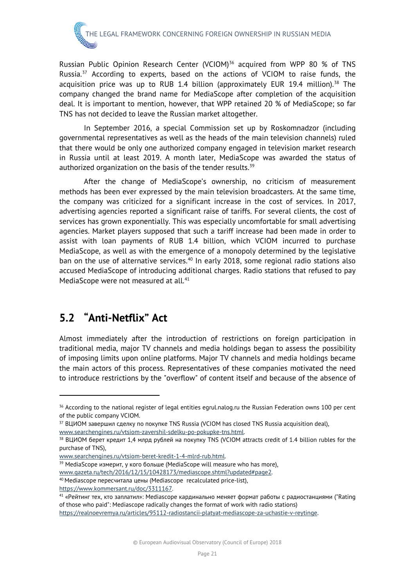# THE LEGAL FRAMEWORK CONCERNING FOREIGN OWNERSHIP IN RUSSIAN MEDIA

Russian Public Opinion Research Center (VCIOM)<sup>[36](#page-28-1)</sup> acquired from WPP 80 % of TNS Russia. $37$  According to experts, based on the actions of VCIOM to raise funds, the acquisition price was up to RUB 1.4 billion (approximately EUR 19.4 million).<sup>[38](#page-28-3)</sup> The company changed the brand name for MediaScope after completion of the acquisition deal. It is important to mention, however, that WPP retained 20 % of MediaScope; so far TNS has not decided to leave the Russian market altogether.

In September 2016, a special Commission set up by Roskomnadzor (including governmental representatives as well as the heads of the main television channels) ruled that there would be only one authorized company engaged in television market research in Russia until at least 2019. A month later, MediaScope was awarded the status of authorized organization on the basis of the tender results. $39$ 

After the change of MediaScope's ownership, no criticism of measurement methods has been ever expressed by the main television broadcasters. At the same time, the company was criticized for a significant increase in the cost of services. In 2017, advertising agencies reported a significant raise of tariffs. For several clients, the cost of services has grown exponentially. This was especially uncomfortable for small advertising agencies. Market players supposed that such a tariff increase had been made in order to assist with loan payments of RUB 1.4 billion, which VCIOM incurred to purchase MediaScope, as well as with the emergence of a monopoly determined by the legislative ban on the use of alternative services.<sup>[40](#page-28-5)</sup> In early 2018, some regional radio stations also accused MediaScope of introducing additional charges. Radio stations that refused to pay MediaScope were not measured at all.<sup>[41](#page-28-6)</sup>

#### <span id="page-28-0"></span>**5.2 "Anti-Netflix" Act**

Almost immediately after the introduction of restrictions on foreign participation in traditional media, major TV channels and media holdings began to assess the possibility of imposing limits upon online platforms. Major TV channels and media holdings became the main actors of this process. Representatives of these companies motivated the need to introduce restrictions by the "overflow" of content itself and because of the absence of

<span id="page-28-1"></span><sup>&</sup>lt;sup>36</sup> According to the national register of legal entities egrul.nalog.ru the Russian Federation owns 100 per cent of the public company VCIOM.<br><sup>37</sup> ВЦИОМ завершил сделку по покупке TNS Russia (VCIOM has closed TNS Russia acquisition deal),

<span id="page-28-3"></span><span id="page-28-2"></span>www.searchengines.ru/vtsiom-zavershil-sdelku-po-pokupke-tns.html.<br><sup>38</sup> ВЦИОМ берет кредит 1,4 млрд рублей на покупку TNS (VCIOM attracts credit of 1.4 billion rubles for the purchase of TNS),

<span id="page-28-4"></span>[www.searchengines.ru/vtsiom-beret-kredit-1-4-mlrd-rub.html.](http://www.searchengines.ru/vtsiom-beret-kredit-1-4-mlrd-rub.html) 39 MediaScope измерит, <sup>у</sup> кого больше (MediaScope will measure who has more),

<span id="page-28-5"></span>www.gazeta.ru/tech/2016/12/15/10428173/mediascope.shtml?updated#page2.<br><sup>40</sup> Mediascope пересчитала цены (Mediascope recalculated price-list),

<span id="page-28-6"></span>https://www.kommersant.ru/doc/3311167.<br><sup>41</sup> «Рейтинг тех, кто заплатил»: Mediascope кардинально меняет формат работы с радиостанциями ("Rating of those who paid": Mediascope radically changes the format of work with radio stations)

[https://realnoevremya.ru/articles/95112-radiostancii-platyat-mediascope-za-uchastie-v-reytinge.](https://realnoevremya.ru/articles/95112-radiostancii-platyat-mediascope-za-uchastie-v-reytinge)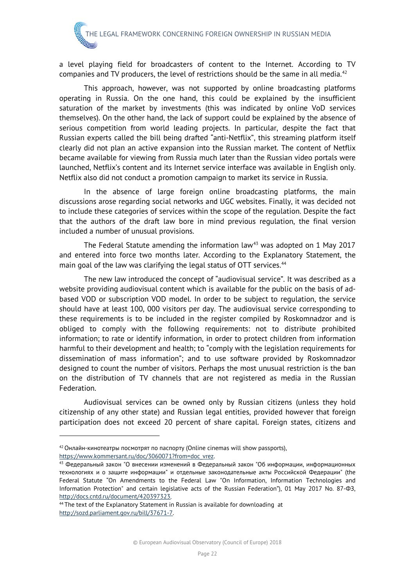a level playing field for broadcasters of content to the Internet. According to TV companies and TV producers, the level of restrictions should be the same in all media.<sup>[42](#page-29-0)</sup>

This approach, however, was not supported by online broadcasting platforms operating in Russia. On the one hand, this could be explained by the insufficient saturation of the market by investments (this was indicated by online VoD services themselves). On the other hand, the lack of support could be explained by the absence of serious competition from world leading projects. In particular, despite the fact that Russian experts called the bill being drafted "anti-Netflix", this streaming platform itself clearly did not plan an active expansion into the Russian market. The content of Netflix became available for viewing from Russia much later than the Russian video portals were launched, Netflix's content and its Internet service interface was available in English only. Netflix also did not conduct a promotion campaign to market its service in Russia.

In the absence of large foreign online broadcasting platforms, the main discussions arose regarding social networks and UGC websites. Finally, it was decided not to include these categories of services within the scope of the regulation. Despite the fact that the authors of the draft law bore in mind previous regulation, the final version included a number of unusual provisions.

The Federal Statute amending the information law<sup>[43](#page-29-1)</sup> was adopted on 1 May 2017 and entered into force two months later. According to the Explanatory Statement, the main goal of the law was clarifying the legal status of OTT services.<sup>[44](#page-29-2)</sup>

The new law introduced the concept of "audiovisual service". It was described as a website providing audiovisual content which is available for the public on the basis of adbased VOD or subscription VOD model. In order to be subject to regulation, the service should have at least 100, 000 visitors per day. The audiovisual service corresponding to these requirements is to be included in the register compiled by Roskomnadzor and is obliged to comply with the following requirements: not to distribute prohibited information; to rate or identify information, in order to protect children from information harmful to their development and health; to "comply with the legislation requirements for dissemination of mass information"; and to use software provided by Roskomnadzor designed to count the number of visitors. Perhaps the most unusual restriction is the ban on the distribution of TV channels that are not registered as media in the Russian Federation.

Audiovisual services can be owned only by Russian citizens (unless they hold citizenship of any other state) and Russian legal entities, provided however that foreign participation does not exceed 20 percent of share capital. Foreign states, citizens and

-

<span id="page-29-0"></span> $42$  Онлайн-кинотеатры посмотрят по паспорту (Online cinemas will show passports), [https://www.kommersant.ru/doc/3060071?from=doc\\_vrez.](https://www.kommersant.ru/doc/3060071?from=doc_vrez)

<span id="page-29-1"></span><sup>43</sup> Федеральный закон "О внесении изменений в Федеральный закон "Об информации, информационных технологиях и о защите информации" и отдельные законодательные акты Российской Федерации" (the Federal Statute "On Amendments to the Federal Law "On Information, Information Technologies and Information Protection" and certain legislative acts of the Russian Federation"), 01 May 2017 No. 87-ФЗ, [http://docs.cntd.ru/document/420397323.](http://docs.cntd.ru/document/420397323)

<span id="page-29-2"></span><sup>&</sup>lt;sup>44</sup> The text of the Explanatory Statement in Russian is available for downloading at [http://sozd.parliament.gov.ru/bill/37671-7.](http://sozd.parliament.gov.ru/bill/37671-7)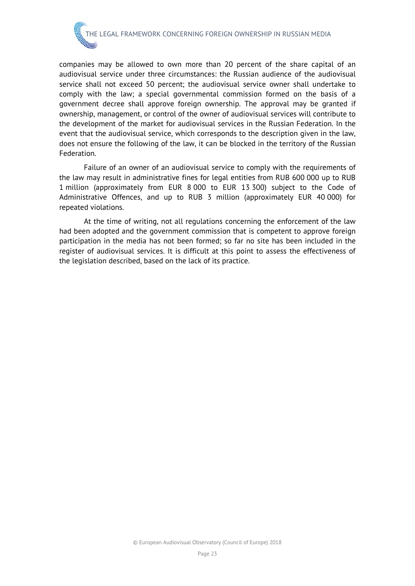

companies may be allowed to own more than 20 percent of the share capital of an audiovisual service under three circumstances: the Russian audience of the audiovisual service shall not exceed 50 percent; the audiovisual service owner shall undertake to comply with the law; a special governmental commission formed on the basis of a government decree shall approve foreign ownership. The approval may be granted if ownership, management, or control of the owner of audiovisual services will contribute to the development of the market for audiovisual services in the Russian Federation. In the event that the audiovisual service, which corresponds to the description given in the law, does not ensure the following of the law, it can be blocked in the territory of the Russian Federation.

Failure of an owner of an audiovisual service to comply with the requirements of the law may result in administrative fines for legal entities from RUB 600 000 up to RUB 1 million (approximately from EUR 8 000 to EUR 13 300) subject to the Code of Administrative Offences, and up to RUB 3 million (approximately EUR 40 000) for repeated violations.

At the time of writing, not all regulations concerning the enforcement of the law had been adopted and the government commission that is competent to approve foreign participation in the media has not been formed; so far no site has been included in the register of audiovisual services. It is difficult at this point to assess the effectiveness of the legislation described, based on the lack of its practice.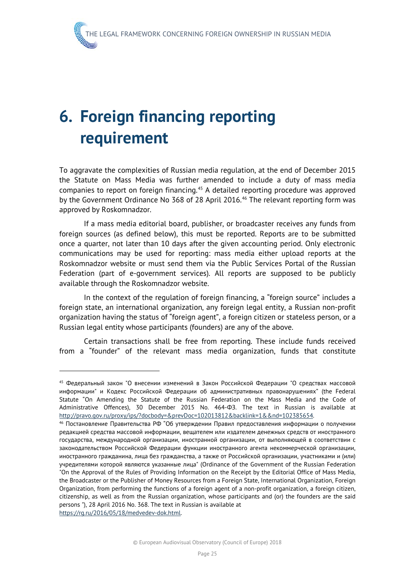# <span id="page-32-0"></span>**6. Foreign financing reporting requirement**

To aggravate the complexities of Russian media regulation, at the end of December 2015 the Statute on Mass Media was further amended to include a duty of mass media companies to report on foreign financing.[45](#page-32-1) A detailed reporting procedure was approved by the Government Ordinance No 368 of 28 April 2016.<sup>[46](#page-32-2)</sup> The relevant reporting form was approved by Roskomnadzor.

If a mass media editorial board, publisher, or broadcaster receives any funds from foreign sources (as defined below), this must be reported. Reports are to be submitted once a quarter, not later than 10 days after the given accounting period. Only electronic communications may be used for reporting: mass media either upload reports at the Roskomnadzor website or must send them via the Public Services Portal of the Russian Federation (part of e-government services). All reports are supposed to be publicly available through the Roskomnadzor website.

In the context of the regulation of foreign financing, a "foreign source" includes a foreign state, an international organization, any foreign legal entity, a Russian non-profit organization having the status of "foreign agent", a foreign citizen or stateless person, or a Russian legal entity whose participants (founders) are any of the above.

Certain transactions shall be free from reporting. These include funds received from a "founder" of the relevant mass media organization, funds that constitute

<span id="page-32-1"></span><sup>45</sup> Федеральный закон "О внесении изменений в Закон Российской Федерации "О средствах массовой информации" и Кодекс Российской Федерации об административных правонарушениях" (the Federal Statute "On Amending the Statute of the Russian Federation on the Mass Media and the [Code of](http://context.reverso.net/%D0%BF%D0%B5%D1%80%D0%B5%D0%B2%D0%BE%D0%B4/%D0%B0%D0%BD%D0%B3%D0%BB%D0%B8%D0%B9%D1%81%D0%BA%D0%B8%D0%B9-%D1%80%D1%83%D1%81%D1%81%D0%BA%D0%B8%D0%B9/Code+of+Administrative+Offences)  [Administrative Offences\)](http://context.reverso.net/%D0%BF%D0%B5%D1%80%D0%B5%D0%B2%D0%BE%D0%B4/%D0%B0%D0%BD%D0%B3%D0%BB%D0%B8%D0%B9%D1%81%D0%BA%D0%B8%D0%B9-%D1%80%D1%83%D1%81%D1%81%D0%BA%D0%B8%D0%B9/Code+of+Administrative+Offences), 30 December 2015 No. 464-ФЗ. The text in Russian is available at [http://pravo.gov.ru/proxy/ips/?docbody=&prevDoc=102013812&backlink=1&&nd=102385654.](http://pravo.gov.ru/proxy/ips/?docbody=&prevDoc=102013812&backlink=1&&nd=102385654)<br><sup>46</sup> Постановление Правительства РФ "Об утверждении Правил предоставления информации о получении

<span id="page-32-2"></span>редакцией средства массовой информации, вещателем или издателем денежных средств от иностранного государства, международной организации, иностранной организации, от выполняющей в соответствии с законодательством Российской Федерации функции иностранного агента некоммерческой организации, иностранного гражданина, лица без гражданства, а также от Российской организации, участниками и (или) учредителями которой являются указанные лица" (Ordinance of the Government of the Russian Federation "On the Approval of the Rules of Providing Information on the Receipt by the Editorial Office of Mass Media, the Broadcaster or the Publisher of Money Resources from a Foreign State, International Organization, Foreign Organization, from performing the functions of a foreign agent of a non-profit organization, a foreign citizen, citizenship, as well as from the Russian organization, whose participants and (or) the founders are the said persons "), 28 April 2016 No. 368. The text in Russian is available at [https://rg.ru/2016/05/18/medvedev-dok.html.](https://rg.ru/2016/05/18/medvedev-dok.html)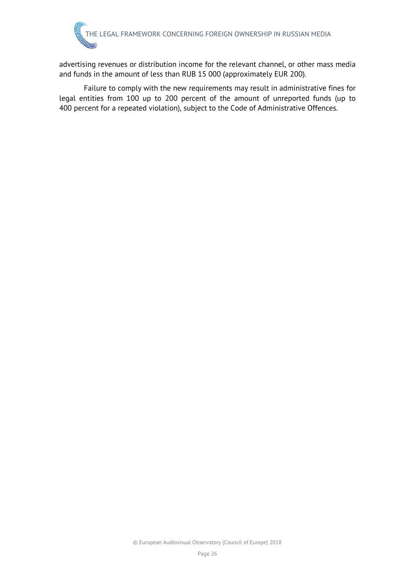advertising revenues or distribution income for the relevant channel, or other mass media and funds in the amount of less than RUB 15 000 (approximately EUR 200).

Failure to comply with the new requirements may result in administrative fines for legal entities from 100 up to 200 percent of the amount of unreported funds (up to 400 percent for a repeated violation), subject to the Code of Administrative Offences.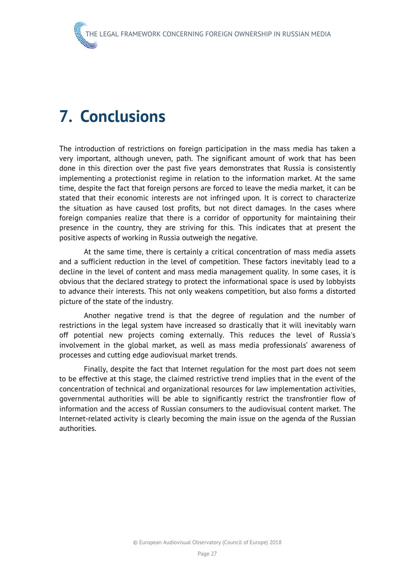### <span id="page-34-0"></span>**7. Conclusions**

The introduction of restrictions on foreign participation in the mass media has taken a very important, although uneven, path. The significant amount of work that has been done in this direction over the past five years demonstrates that Russia is consistently implementing a protectionist regime in relation to the information market. At the same time, despite the fact that foreign persons are forced to leave the media market, it can be stated that their economic interests are not infringed upon. It is correct to characterize the situation as have caused lost profits, but not direct damages. In the cases where foreign companies realize that there is a corridor of opportunity for maintaining their presence in the country, they are striving for this. This indicates that at present the positive aspects of working in Russia outweigh the negative.

At the same time, there is certainly a critical concentration of mass media assets and a sufficient reduction in the level of competition. These factors inevitably lead to a decline in the level of content and mass media management quality. In some cases, it is obvious that the declared strategy to protect the informational space is used by lobbyists to advance their interests. This not only weakens competition, but also forms a distorted picture of the state of the industry.

Another negative trend is that the degree of regulation and the number of restrictions in the legal system have increased so drastically that it will inevitably warn off potential new projects coming externally. This reduces the level of Russia's involvement in the global market, as well as mass media professionals' awareness of processes and cutting edge audiovisual market trends.

Finally, despite the fact that Internet regulation for the most part does not seem to be effective at this stage, the claimed restrictive trend implies that in the event of the concentration of technical and organizational resources for law implementation activities, governmental authorities will be able to significantly restrict the transfrontier flow of information and the access of Russian consumers to the audiovisual content market. The Internet-related activity is clearly becoming the main issue on the agenda of the Russian authorities.